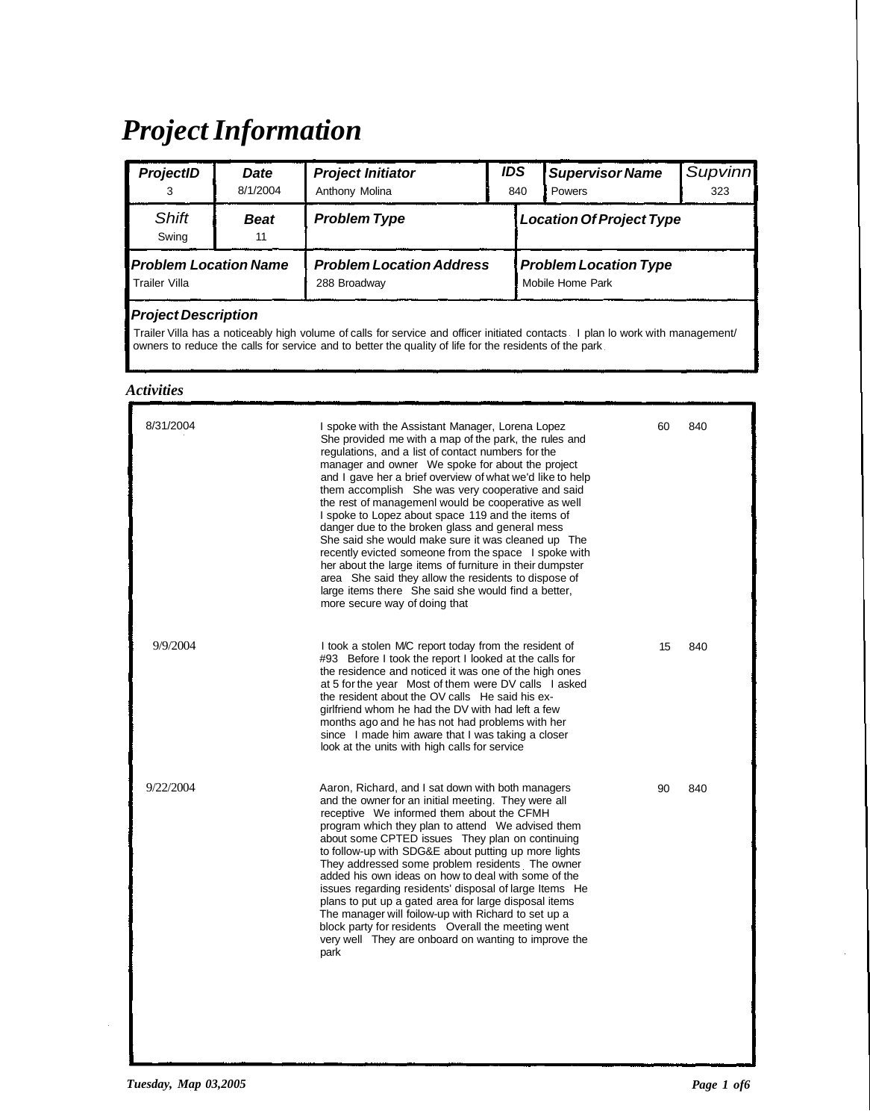## *Project Information*

| <b>ProjectID</b>                              | <b>Date</b><br>8/1/2004 | <b>Project Initiator</b><br>Anthony Molina      | <b>IDS</b><br>840 | <b>Supervisor Name</b><br><b>Powers</b>          | Supvinn<br>323 |  |
|-----------------------------------------------|-------------------------|-------------------------------------------------|-------------------|--------------------------------------------------|----------------|--|
| <b>Shift</b><br>Swing                         | <b>Beat</b><br>11       | <b>Problem Type</b>                             |                   | <b>Location Of Project Type</b>                  |                |  |
| <b>Problem Location Name</b><br>Trailer Villa |                         | <b>Problem Location Address</b><br>288 Broadway |                   | <b>Problem Location Type</b><br>Mobile Home Park |                |  |
| <b>Project Description</b>                    |                         |                                                 |                   |                                                  |                |  |

Trailer Villa has a noticeably high volume of calls for service and officer initiated contacts I plan lo work with management/ owners to reduce the calls for service and to better the quality of life for the residents of the park

## *Activities*

| 8/31/2004 | I spoke with the Assistant Manager, Lorena Lopez<br>She provided me with a map of the park, the rules and<br>regulations, and a list of contact numbers for the<br>manager and owner We spoke for about the project<br>and I gave her a brief overview of what we'd like to help<br>them accomplish She was very cooperative and said<br>the rest of management would be cooperative as well<br>I spoke to Lopez about space 119 and the items of<br>danger due to the broken glass and general mess<br>She said she would make sure it was cleaned up The<br>recently evicted someone from the space I spoke with<br>her about the large items of furniture in their dumpster<br>area She said they allow the residents to dispose of<br>large items there She said she would find a better,<br>more secure way of doing that | 60 | 840 |
|-----------|--------------------------------------------------------------------------------------------------------------------------------------------------------------------------------------------------------------------------------------------------------------------------------------------------------------------------------------------------------------------------------------------------------------------------------------------------------------------------------------------------------------------------------------------------------------------------------------------------------------------------------------------------------------------------------------------------------------------------------------------------------------------------------------------------------------------------------|----|-----|
| 9/9/2004  | I took a stolen MC report today from the resident of<br>#93 Before I took the report I looked at the calls for<br>the residence and noticed it was one of the high ones<br>at 5 for the year Most of them were DV calls I asked<br>the resident about the OV calls He said his ex-<br>girlfriend whom he had the DV with had left a few<br>months ago and he has not had problems with her<br>since I made him aware that I was taking a closer<br>look at the units with high calls for service                                                                                                                                                                                                                                                                                                                               | 15 | 840 |
| 9/22/2004 | Aaron, Richard, and I sat down with both managers<br>and the owner for an initial meeting. They were all<br>receptive We informed them about the CFMH<br>program which they plan to attend We advised them<br>about some CPTED issues They plan on continuing<br>to follow-up with SDG&E about putting up more lights<br>They addressed some problem residents The owner<br>added his own ideas on how to deal with some of the<br>issues regarding residents' disposal of large Items He<br>plans to put up a gated area for large disposal items<br>The manager will foilow-up with Richard to set up a<br>block party for residents Overall the meeting went<br>very well They are onboard on wanting to improve the<br>park                                                                                                | 90 | 840 |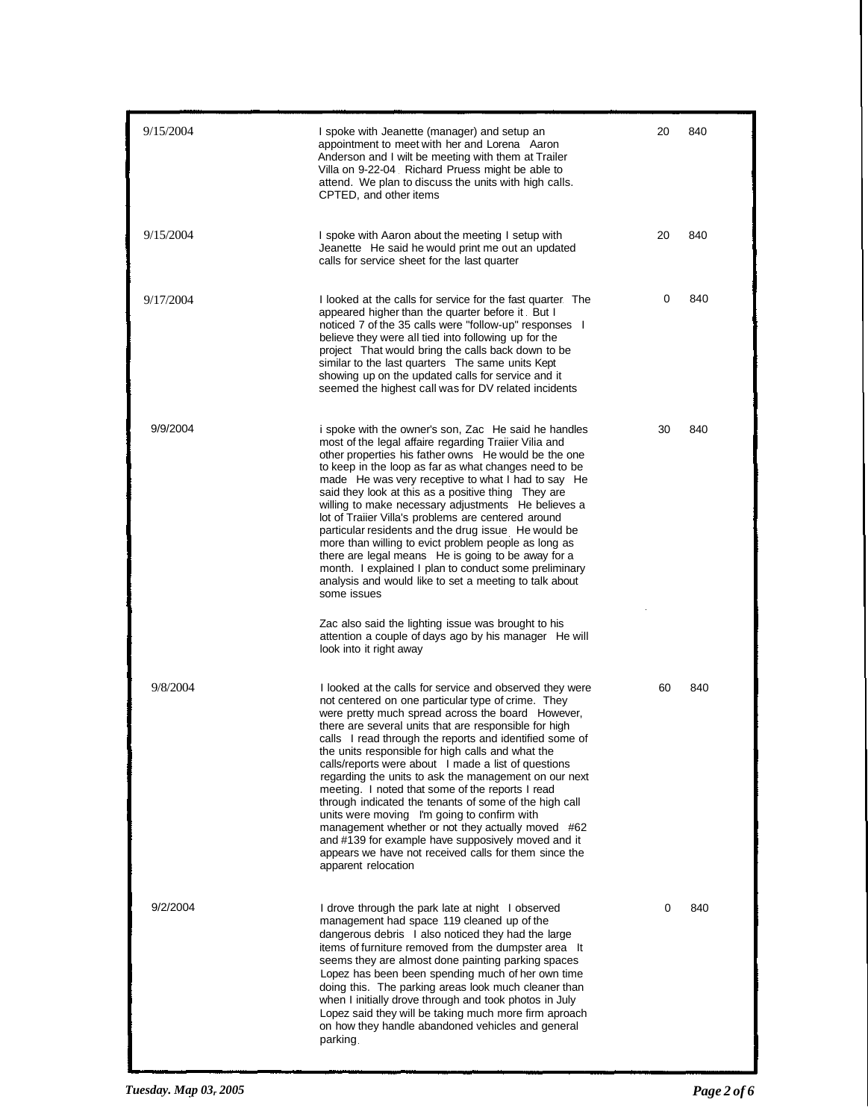| 9/15/2004 | I spoke with Jeanette (manager) and setup an<br>appointment to meet with her and Lorena Aaron<br>Anderson and I wilt be meeting with them at Trailer<br>Villa on 9-22-04 Richard Pruess might be able to<br>attend. We plan to discuss the units with high calls.<br>CPTED, and other items                                                                                                                                                                                                                                                                                                                                                                                                                                                                                                                                                                                                                 | 20 | 840 |
|-----------|-------------------------------------------------------------------------------------------------------------------------------------------------------------------------------------------------------------------------------------------------------------------------------------------------------------------------------------------------------------------------------------------------------------------------------------------------------------------------------------------------------------------------------------------------------------------------------------------------------------------------------------------------------------------------------------------------------------------------------------------------------------------------------------------------------------------------------------------------------------------------------------------------------------|----|-----|
| 9/15/2004 | I spoke with Aaron about the meeting I setup with<br>Jeanette He said he would print me out an updated<br>calls for service sheet for the last quarter                                                                                                                                                                                                                                                                                                                                                                                                                                                                                                                                                                                                                                                                                                                                                      | 20 | 840 |
| 9/17/2004 | I looked at the calls for service for the fast quarter. The<br>appeared higher than the quarter before it. But I<br>noticed 7 of the 35 calls were "follow-up" responses I<br>believe they were all tied into following up for the<br>project That would bring the calls back down to be<br>similar to the last quarters The same units Kept<br>showing up on the updated calls for service and it<br>seemed the highest call was for DV related incidents                                                                                                                                                                                                                                                                                                                                                                                                                                                  | 0  | 840 |
| 9/9/2004  | i spoke with the owner's son, Zac He said he handles<br>most of the legal affaire regarding Traiier Vilia and<br>other properties his father owns He would be the one<br>to keep in the loop as far as what changes need to be<br>made He was very receptive to what I had to say He<br>said they look at this as a positive thing They are<br>willing to make necessary adjustments He believes a<br>lot of Traiier Villa's problems are centered around<br>particular residents and the drug issue He would be<br>more than willing to evict problem people as long as<br>there are legal means He is going to be away for a<br>month. I explained I plan to conduct some preliminary<br>analysis and would like to set a meeting to talk about<br>some issues<br>Zac also said the lighting issue was brought to his<br>attention a couple of days ago by his manager He will<br>look into it right away | 30 | 840 |
| 9/8/2004  | I looked at the calls for service and observed they were<br>not centered on one particular type of crime. They<br>were pretty much spread across the board However,<br>there are several units that are responsible for high<br>calls I read through the reports and identified some of<br>the units responsible for high calls and what the<br>calls/reports were about I made a list of questions<br>regarding the units to ask the management on our next<br>meeting. I noted that some of the reports I read<br>through indicated the tenants of some of the high call<br>units were moving I'm going to confirm with<br>management whether or not they actually moved #62<br>and #139 for example have supposively moved and it<br>appears we have not received calls for them since the<br>apparent relocation                                                                                        | 60 | 840 |
| 9/2/2004  | I drove through the park late at night I observed<br>management had space 119 cleaned up of the<br>dangerous debris I also noticed they had the large<br>items of furniture removed from the dumpster area It<br>seems they are almost done painting parking spaces<br>Lopez has been been spending much of her own time<br>doing this. The parking areas look much cleaner than<br>when I initially drove through and took photos in July<br>Lopez said they will be taking much more firm aproach<br>on how they handle abandoned vehicles and general<br>parking.                                                                                                                                                                                                                                                                                                                                        | 0  | 840 |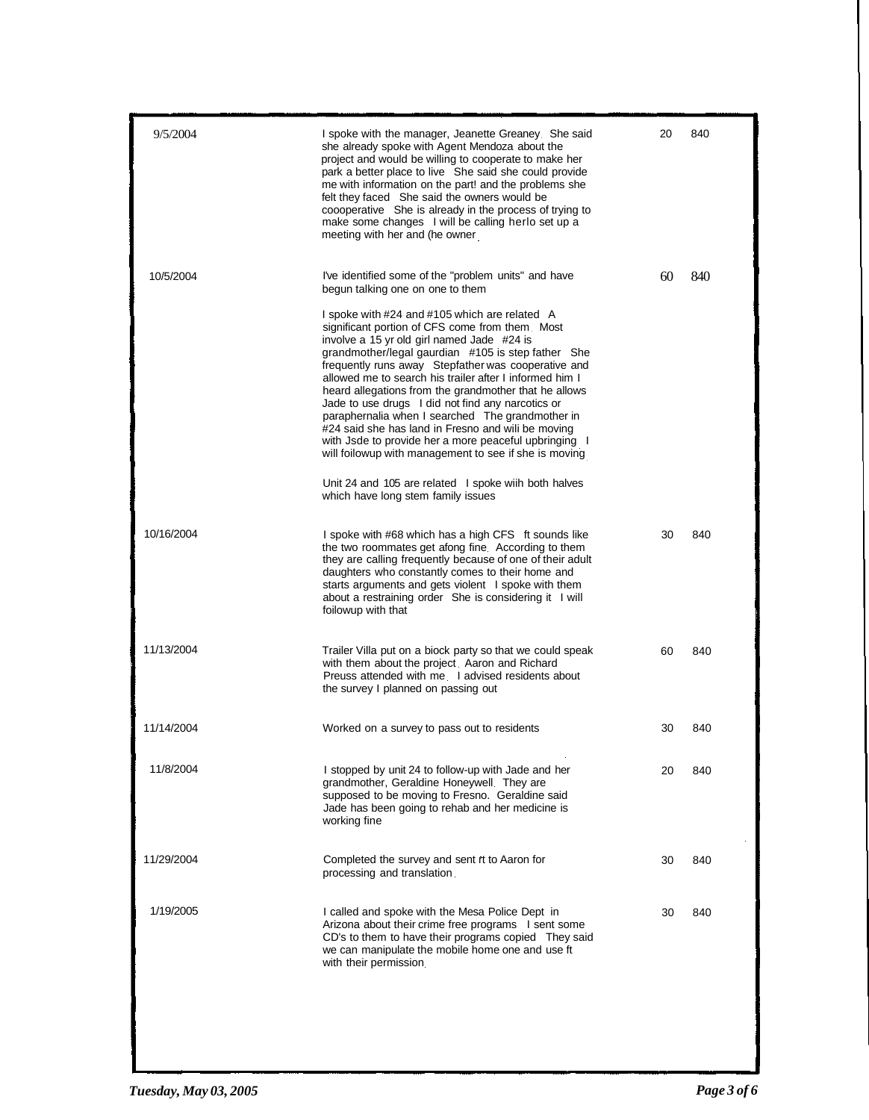| 9/5/2004   | I spoke with the manager, Jeanette Greaney She said<br>she already spoke with Agent Mendoza about the<br>project and would be willing to cooperate to make her<br>park a better place to live She said she could provide<br>me with information on the part! and the problems she<br>felt they faced She said the owners would be<br>coooperative She is already in the process of trying to<br>make some changes I will be calling herlo set up a<br>meeting with her and (he owner                                                                                                                                                                                                                                                                                                                                                                       | 20 | 840 |
|------------|------------------------------------------------------------------------------------------------------------------------------------------------------------------------------------------------------------------------------------------------------------------------------------------------------------------------------------------------------------------------------------------------------------------------------------------------------------------------------------------------------------------------------------------------------------------------------------------------------------------------------------------------------------------------------------------------------------------------------------------------------------------------------------------------------------------------------------------------------------|----|-----|
| 10/5/2004  | I've identified some of the "problem units" and have<br>begun talking one on one to them<br>I spoke with #24 and #105 which are related A<br>significant portion of CFS come from them. Most<br>involve a 15 yr old girl named Jade #24 is<br>grandmother/legal gaurdian #105 is step father She<br>frequently runs away Stepfather was cooperative and<br>allowed me to search his trailer after I informed him I<br>heard allegations from the grandmother that he allows<br>Jade to use drugs I did not find any narcotics or<br>paraphernalia when I searched The grandmother in<br>#24 said she has land in Fresno and will be moving<br>with Jsde to provide her a more peaceful upbringing I<br>will foilowup with management to see if she is moving<br>Unit 24 and 105 are related I spoke wiih both halves<br>which have long stem family issues | 60 | 840 |
| 10/16/2004 | I spoke with #68 which has a high CFS ft sounds like<br>the two roommates get afong fine. According to them<br>they are calling frequently because of one of their adult<br>daughters who constantly comes to their home and<br>starts arguments and gets violent I spoke with them<br>about a restraining order She is considering it I will<br>foilowup with that                                                                                                                                                                                                                                                                                                                                                                                                                                                                                        | 30 | 840 |
| 11/13/2004 | Trailer Villa put on a biock party so that we could speak<br>with them about the project. Aaron and Richard<br>Preuss attended with me I advised residents about<br>the survey I planned on passing out                                                                                                                                                                                                                                                                                                                                                                                                                                                                                                                                                                                                                                                    | 60 | 840 |
| 11/14/2004 | Worked on a survey to pass out to residents                                                                                                                                                                                                                                                                                                                                                                                                                                                                                                                                                                                                                                                                                                                                                                                                                | 30 | 840 |
| 11/8/2004  | I stopped by unit 24 to follow-up with Jade and her<br>grandmother, Geraldine Honeywell. They are<br>supposed to be moving to Fresno. Geraldine said<br>Jade has been going to rehab and her medicine is<br>working fine                                                                                                                                                                                                                                                                                                                                                                                                                                                                                                                                                                                                                                   | 20 | 840 |
| 11/29/2004 | Completed the survey and sent it to Aaron for<br>processing and translation.                                                                                                                                                                                                                                                                                                                                                                                                                                                                                                                                                                                                                                                                                                                                                                               | 30 | 840 |
| 1/19/2005  | I called and spoke with the Mesa Police Dept in<br>Arizona about their crime free programs I sent some<br>CD's to them to have their programs copied They said<br>we can manipulate the mobile home one and use ft<br>with their permission.                                                                                                                                                                                                                                                                                                                                                                                                                                                                                                                                                                                                               | 30 | 840 |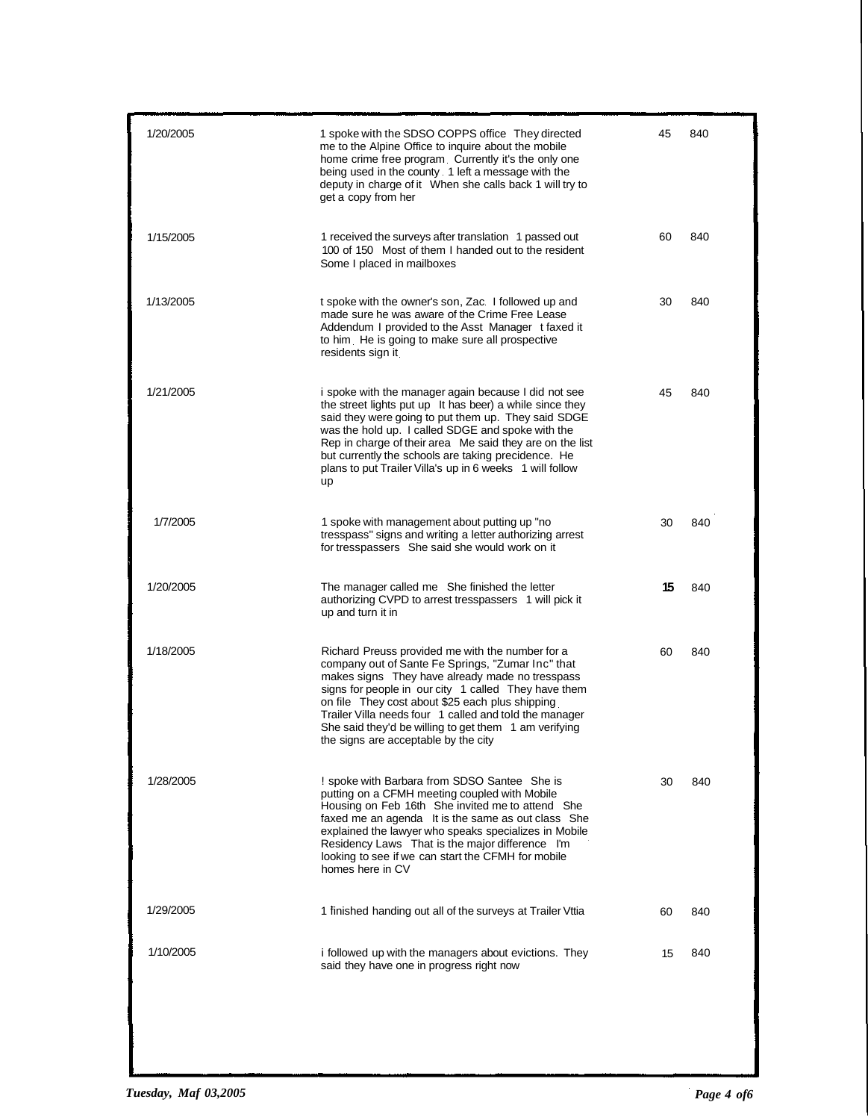| 1/20/2005 | 1 spoke with the SDSO COPPS office They directed<br>me to the Alpine Office to inquire about the mobile<br>home crime free program. Currently it's the only one<br>being used in the county. 1 left a message with the<br>deputy in charge of it When she calls back 1 will try to<br>get a copy from her                                                                                                                      | 45 | 840 |
|-----------|--------------------------------------------------------------------------------------------------------------------------------------------------------------------------------------------------------------------------------------------------------------------------------------------------------------------------------------------------------------------------------------------------------------------------------|----|-----|
| 1/15/2005 | 1 received the surveys after translation 1 passed out<br>100 of 150 Most of them I handed out to the resident<br>Some I placed in mailboxes                                                                                                                                                                                                                                                                                    | 60 | 840 |
| 1/13/2005 | t spoke with the owner's son, Zac. I followed up and<br>made sure he was aware of the Crime Free Lease<br>Addendum I provided to the Asst Manager t faxed it<br>to him. He is going to make sure all prospective<br>residents sign it                                                                                                                                                                                          | 30 | 840 |
| 1/21/2005 | i spoke with the manager again because I did not see<br>the street lights put up It has beer) a while since they<br>said they were going to put them up. They said SDGE<br>was the hold up. I called SDGE and spoke with the<br>Rep in charge of their area Me said they are on the list<br>but currently the schools are taking precidence. He<br>plans to put Trailer Villa's up in 6 weeks 1 will follow<br>up              | 45 | 840 |
| 1/7/2005  | 1 spoke with management about putting up "no<br>tresspass" signs and writing a letter authorizing arrest<br>for tresspassers She said she would work on it                                                                                                                                                                                                                                                                     | 30 | 840 |
| 1/20/2005 | The manager called me She finished the letter<br>authorizing CVPD to arrest tresspassers 1 will pick it<br>up and turn it in                                                                                                                                                                                                                                                                                                   | 15 | 840 |
| 1/18/2005 | Richard Preuss provided me with the number for a<br>company out of Sante Fe Springs, "Zumar Inc" that<br>makes signs They have already made no tresspass<br>signs for people in our city 1 called They have them<br>on file They cost about \$25 each plus shipping<br>Trailer Villa needs four 1 called and told the manager<br>She said they'd be willing to get them 1 am verifying<br>the signs are acceptable by the city | 60 | 840 |
| 1/28/2005 | ! spoke with Barbara from SDSO Santee She is<br>putting on a CFMH meeting coupled with Mobile<br>Housing on Feb 16th She invited me to attend She<br>faxed me an agenda It is the same as out class She<br>explained the lawyer who speaks specializes in Mobile<br>Residency Laws That is the major difference I'm<br>looking to see if we can start the CFMH for mobile<br>homes here in CV                                  | 30 | 840 |
| 1/29/2005 | 1 finished handing out all of the surveys at Trailer Vttia                                                                                                                                                                                                                                                                                                                                                                     | 60 | 840 |
| 1/10/2005 | i followed up with the managers about evictions. They<br>said they have one in progress right now                                                                                                                                                                                                                                                                                                                              | 15 | 840 |
|           |                                                                                                                                                                                                                                                                                                                                                                                                                                |    |     |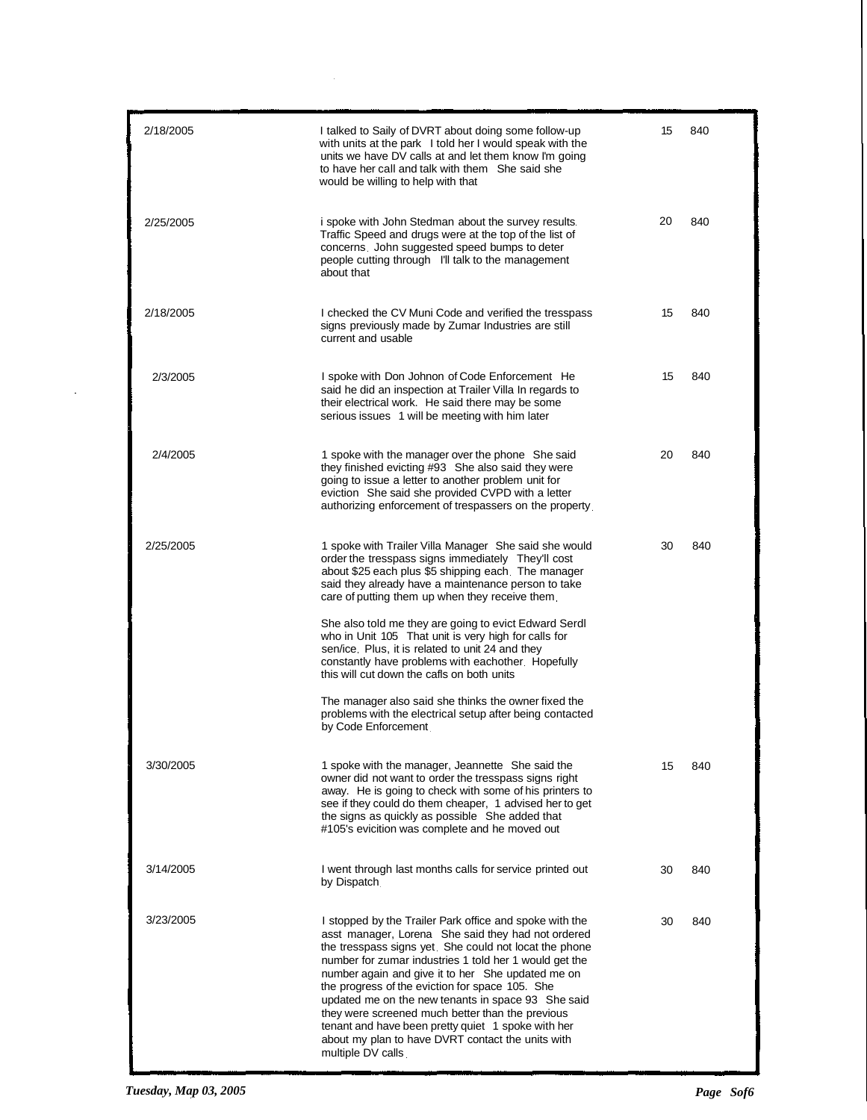| 2/18/2005 | I talked to Saily of DVRT about doing some follow-up<br>with units at the park I told her I would speak with the<br>units we have DV calls at and let them know I'm going<br>to have her call and talk with them She said she<br>would be willing to help with that                                                                                                                                                                                                                                                                                                                 | 15 | 840 |
|-----------|-------------------------------------------------------------------------------------------------------------------------------------------------------------------------------------------------------------------------------------------------------------------------------------------------------------------------------------------------------------------------------------------------------------------------------------------------------------------------------------------------------------------------------------------------------------------------------------|----|-----|
| 2/25/2005 | i spoke with John Stedman about the survey results.<br>Traffic Speed and drugs were at the top of the list of<br>concerns. John suggested speed bumps to deter<br>people cutting through I'll talk to the management<br>about that                                                                                                                                                                                                                                                                                                                                                  | 20 | 840 |
| 2/18/2005 | I checked the CV Muni Code and verified the tresspass<br>signs previously made by Zumar Industries are still<br>current and usable                                                                                                                                                                                                                                                                                                                                                                                                                                                  | 15 | 840 |
| 2/3/2005  | I spoke with Don Johnon of Code Enforcement He<br>said he did an inspection at Trailer Villa In regards to<br>their electrical work. He said there may be some<br>serious issues 1 will be meeting with him later                                                                                                                                                                                                                                                                                                                                                                   | 15 | 840 |
| 2/4/2005  | 1 spoke with the manager over the phone She said<br>they finished evicting #93 She also said they were<br>going to issue a letter to another problem unit for<br>eviction She said she provided CVPD with a letter<br>authorizing enforcement of trespassers on the property.                                                                                                                                                                                                                                                                                                       | 20 | 840 |
| 2/25/2005 | 1 spoke with Trailer Villa Manager She said she would<br>order the tresspass signs immediately They'll cost<br>about \$25 each plus \$5 shipping each. The manager<br>said they already have a maintenance person to take<br>care of putting them up when they receive them.                                                                                                                                                                                                                                                                                                        | 30 | 840 |
|           | She also told me they are going to evict Edward Serdl<br>who in Unit 105 That unit is very high for calls for<br>sen/ice. Plus, it is related to unit 24 and they<br>constantly have problems with eachother. Hopefully<br>this will cut down the cafls on both units                                                                                                                                                                                                                                                                                                               |    |     |
|           | The manager also said she thinks the owner fixed the<br>problems with the electrical setup after being contacted<br>by Code Enforcement                                                                                                                                                                                                                                                                                                                                                                                                                                             |    |     |
| 3/30/2005 | 1 spoke with the manager, Jeannette She said the<br>owner did not want to order the tresspass signs right<br>away. He is going to check with some of his printers to<br>see if they could do them cheaper, 1 advised her to get<br>the signs as quickly as possible She added that<br>#105's evicition was complete and he moved out                                                                                                                                                                                                                                                | 15 | 840 |
| 3/14/2005 | I went through last months calls for service printed out<br>by Dispatch.                                                                                                                                                                                                                                                                                                                                                                                                                                                                                                            | 30 | 840 |
| 3/23/2005 | I stopped by the Trailer Park office and spoke with the<br>asst manager, Lorena She said they had not ordered<br>the tresspass signs yet. She could not locat the phone<br>number for zumar industries 1 told her 1 would get the<br>number again and give it to her She updated me on<br>the progress of the eviction for space 105. She<br>updated me on the new tenants in space 93 She said<br>they were screened much better than the previous<br>tenant and have been pretty quiet 1 spoke with her<br>about my plan to have DVRT contact the units with<br>multiple DV calls | 30 | 840 |

 $\sim$